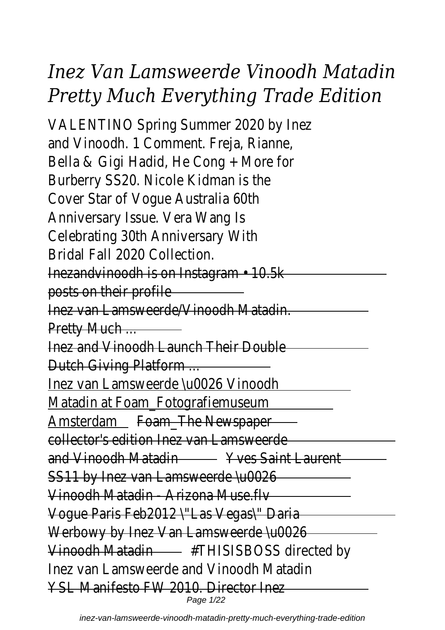# *Inez Van Lamsweerde Vinoodh Matadin Pretty Much Everything Trade Edition*

VALENTINO Spring Summer 2 and Vinoodh. 1 Comment. Fi Bella & Gigi Hadid, He Cong Burberry SS20. Nicole Kid Cover Star of Vogue Aust Anniversary Issue. Vera Celebrating 30th Annive Bridal Fall 2020 Co Inezandvinoodh is on Instagram posts on their profile Inez van Lamsweerde/Vinoodh Matadin. Pretty Much ... Inez and Vinoodh Launch Their Double Dutch Giving Platform ... Inez van Lamsweerde \u0026 Vinoodh Matadin at Foam\_Fotografiemuseum Amsterdam Foam The Newspaper collector's edition Inez van La and Vinoodh Matadin **WARE** Yves Saint Laurent SS11 by Inez van Lamsweerde \u0026 Vinoodh Matadin - Arizona Mus Vogue Paris Feb2012 \"Las Vegas\" Daria Werbowy by Inez Van Lamsweerde \u0026 Vinoodh Matadin - #THISISBOSS dire Inez van Lamsweerde and Vino YSL Manifesto FW 2010 D Page 1/22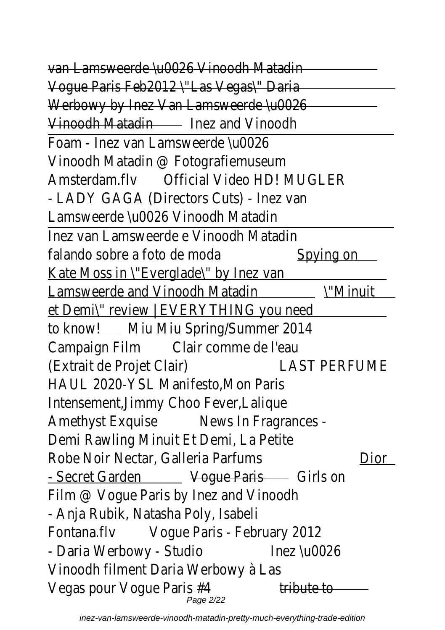van Lamsweerde *Au0026 Vino*u Vogue Paris Feb2012 \"Las Vegas\" Daria Werbowy by Inez Van Lamsweerde \u0026 Vinoodh Matadin Inez and Vin Foam - Inez van Lamsweer Vinoodh Matadin @ Fotogra Amsterdam.flv Official Video HDI - LADY GAGA (Directors Cut Lamsweerde \u0026 Vinoo Inez van Lamsweerde e Vino falando sobre a foto de moda Spying on Kate Moss in \"Everglade\" Lamsweerde and Vinoodh Matadin \"Minu et Demi\" review | EVERYTHI to know! Miu Miu Spring/Sumr Campaign Film Clair comme de (Extrait de Projet Clair) LAST PERF HAUL 2020-YSL Manifesto Intensement, Jimmy Choo F Amethyst Exquise - News In Fragrances - News In Fragrances - News In Fragrances - News In Fragrances - News In Demi Rawling Minuit Et De Robe Noir Nectar, Galleria Parfums **Diorry Contains** - Secret Garden **Voque Paris** Girls Film @ Vogue Paris by Inez and View - Anja Rubik, Natasha Poly Fontana.flv Vogue Paris - Febru - Daria Werbowy - Studio Inez \u00 Vinoodh filment Daria Wer Vegas pour Vogue Paris  $#4$  tribute Page 2/22

inez-van-lamsweerde-vinoodh-matadin-pretty-much-everything-trade-edition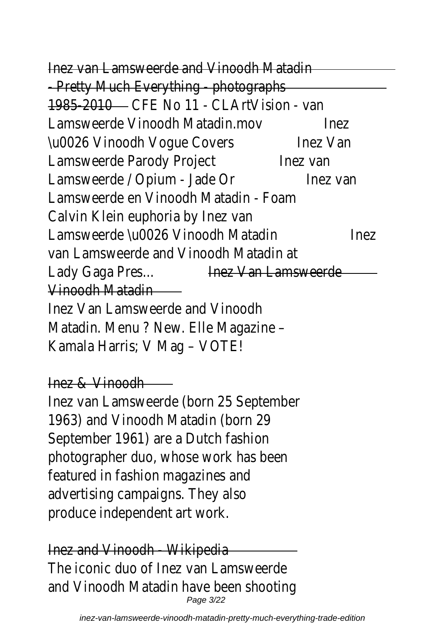Inez van Lamsweerde and Vinc - Pretty Much Everything -1985-2010 CFF No 11 - CLArtVi Lamsweerde Vinoodh Matadin.mov Inez \u0026 Vinoodh Voque Covers Inez V Lamsweerde Parody Project lnez van Lamsweerde / Opium - Jade Or Inez v Lamsweerde en Vinoodh Mat Calvin Klein euphoria by Lamsweerde \u0026 Vinoodh Matadin Ine van Lamsweerde and Vinoodh Lady Gaga Pres... **Inez Van Lamsy** Vinoodh Ma Inez Van Lamsweerde ar Matadin. Menu ? New. Elle Kamala Harris; V Mag Inez & Vinoodh Inez van Lamsweerde (born 2 1963) and Vinoodh Matad September 1961) are a Du photographer duo, whose we featured in fashion maga advertising campaigns. produce independent  $Inez$  and Vinoodh  $-V$ The iconic duo of Inez van I and Vinoodh Matadin have be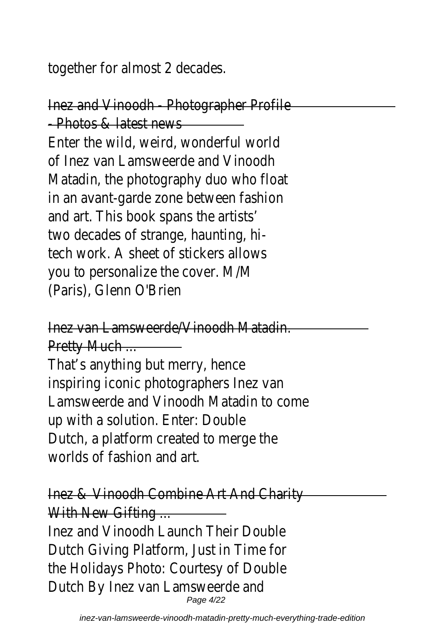together for almost 2

Inez and Vinoodh - Photogra  $-$  Photos & lates Enter the wild, weird, world of Inez van Lamsweerde and Matadin, the photography d in an avant-garde zone bety and art. This book spans two decades of strange, h tech work. A sheet of stick you to personalize the c (Paris), Glenn C

Inez van Lamsweerde/Vinoodh Matadin.

**Pretty Muc** That's anything but me inspiring iconic photographers Lamsweerde and Vinoodh Mat up with a solution. Enter Dutch, a platform created to worlds of fashion

Inez & Vinoodh Combine Art With New Gif Inez and Vinoodh Launch T Dutch Giving Platform, Just the Holidays Photo: Courter Dutch By Inez van Lamsy Page 4/22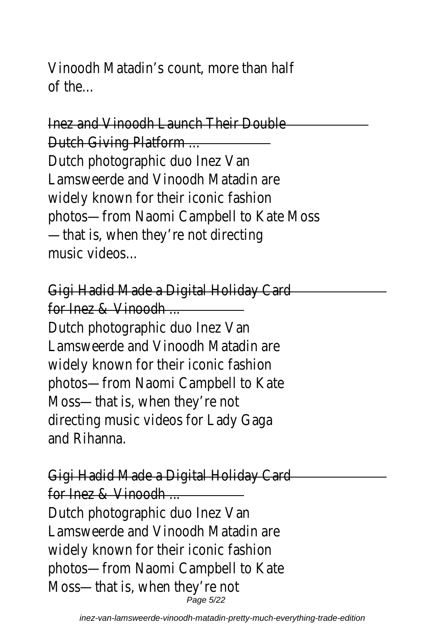Vinoodh Matadin's count, mo of the

Inez and Vinoodh Launch The **Dutch Giving Plat** Dutch photographic du Lamsweerde and Vinoodh M widely known for their iconic photos—from Naomi Campbell  $-$ that is, when they're not music vide

Gigi Hadid Made a Digital H for lnez & Vinoodh Dutch photographic due Lamsweerde and Vinoodh M widely known for their iconic photos-from Naomi Camp Moss-that is, when the directing music videos for and Rihar

Gigi Hadid Made a Digital H for Inez & Vinoodh ... Dutch photographic due Lamsweerde and Vinoodh M widely known for their iconic photos-from Naomi Camp Moss-that is, when the

Page 5/22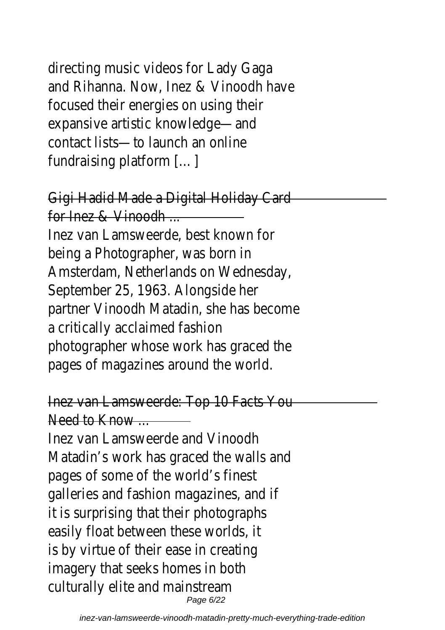directing music videos for and Rihanna. Now, Inez & V focused their energies on expansive artistic knowl contact lists—to launch fundraising platform

Gigi Hadid Made a Digital Ho for lnez & Vinoodh Inez van Lamsweerde, best being a Photographer, w Amsterdam, Netherlands on September 25, 1963. Ald partner Vinoodh Matadin, she a critically acclaimed photographer whose work has pages of magazines around

Inez van Lamsweerde: Top 1

Need to Know Inez van Lamsweerde and Matadin's work has graced the Matadin's wark and walls and walls and the Matadian and walls and the Matadian and the Matadian Suraba. pages of some of the world galleries and fashion magazi it is surprising that their  $p$ easily float between thes is by virtue of their ease imagery that seeks home culturally elite and ma

Page 6/22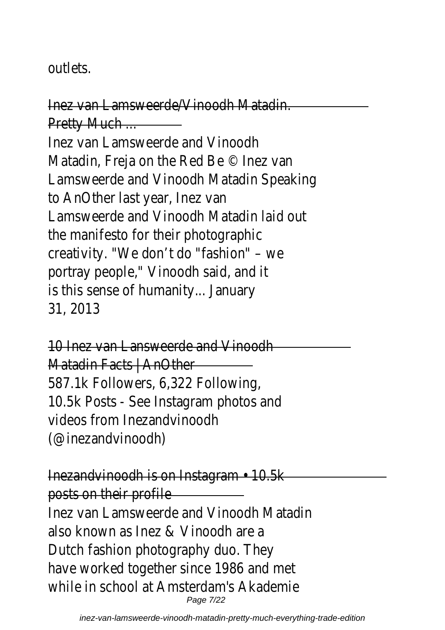## outlet

Inez van Lamsweerde/Vinoodh Matadin. Pretty Mu Inez van Lamsweerde ar Matadin, Freja on the Red B Lamsweerde and Vinoodh Mata to AnOther last year Lamsweerde and Vinoodh Mat the manifesto for their pl creativity. "We don't do "fa portray people," Vinoodh s is this sense of humanit 31, 20

10 Inez van Lansweerde a Matadin Facts | A 587.1k Followers, 6,322 10.5k Posts - See Instagram videos from Inezand  $($ @inezandvino

Inezandvinoodh is on Instagr posts on their profile Inez van Lamsweerde and Vinc also known as Inez & Vin Dutch fashion photograph have worked together since 1 while in school at Amsterdam Page 7/22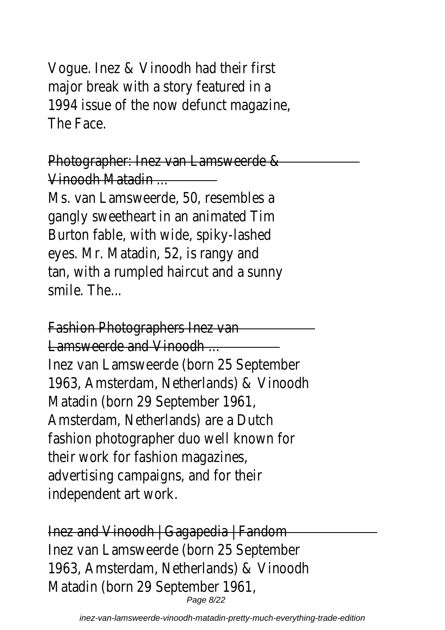Vogue. Inez & Vinoodh had major break with a story f 1994 issue of the now defur  $The  $F_{20}$$ 

Photographer: Inez van Lar Vinoodh Mata Ms. van Lamsweerde, 50, i gangly sweetheart in an an Burton fable, with wide, spike eyes. Mr. Matadin, 52, is tan, with a rumpled haircut smile. Th

Fashion Photographers

Lamsweerde and Vi Inez van Lamsweerde (born 2 1963, Amsterdam, Netherland Matadin (born 29 Septer Amsterdam, Netherlands) and fashion photographer duo w their work for fashion advertising campaigns, and independent art

Inez and Vinoodh | Gagaped Inez van Lamsweerde (born 2 1963, Amsterdam, Netherland Matadin (born 29 Septer Page 8/22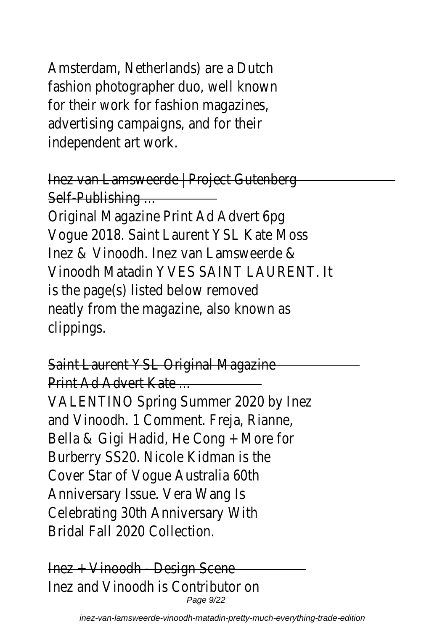Amsterdam, Netherlands) and fashion photographer duo, for their work for fashion advertising campaigns, an independent art

Inez van Lamsweerde | Project Self-Publishi Original Magazine Print Ad Vogue 2018. Saint Laurent YS Inez & Vinoodh. Inez van Lam Vinoodh Matadin YVES SAINT is the page(s) listed below neatly from the magazine, also clipping

Saint Laurent YSL Origina Print Ad Advert K VALENTINO Spring Summer 2 and Vinoodh. 1 Comment. Fi Bella & Gigi Hadid, He Cong Burberry SS20. Nicole Kid Cover Star of Voque Aus Anniversary Issue. Vera Celebrating 30th Annive Bridal Fall 2020 Co

Inez + Vinoodh - Desi Inez and Vinoodh is Cont Page 9/22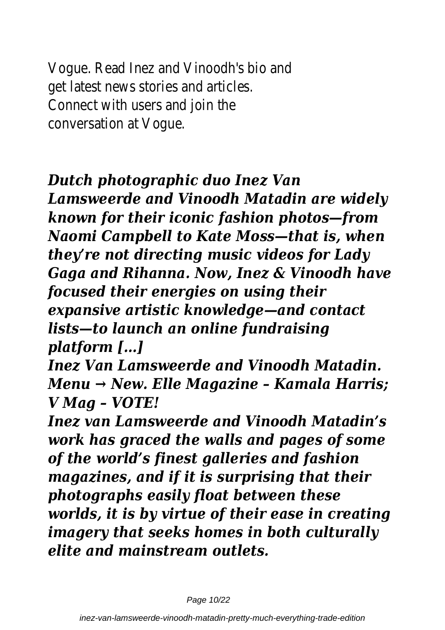Vogue. Read Inez and Vinood get latest news stories and Connect with users an conversation at

## *Dutch photographic duo Inez Van*

*Lamsweerde and Vinoodh Matadin are widely known for their iconic fashion photos—from Naomi Campbell to Kate Moss—that is, when they're not directing music videos for Lady Gaga and Rihanna. Now, Inez & Vinoodh have focused their energies on using their expansive artistic knowledge—and contact lists—to launch an online fundraising platform […]*

*Inez Van Lamsweerde and Vinoodh Matadin. Menu → New. Elle Magazine – Kamala Harris; V Mag – VOTE!*

*Inez van Lamsweerde and Vinoodh Matadin's work has graced the walls and pages of some of the world's finest galleries and fashion magazines, and if it is surprising that their photographs easily float between these worlds, it is by virtue of their ease in creating imagery that seeks homes in both culturally elite and mainstream outlets.*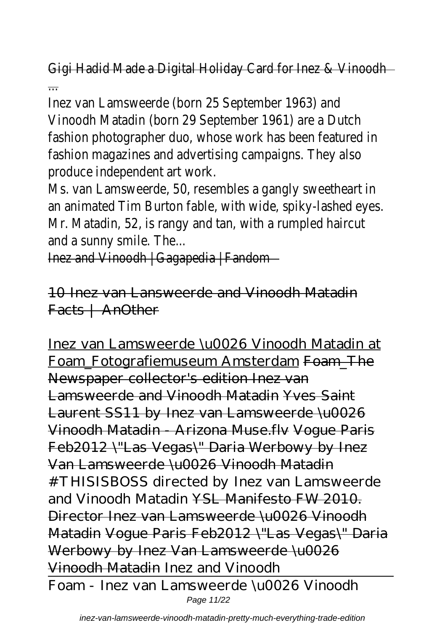Gigi Hadid Made a Digital Holiday Card for

...

Inez van Lamsweerde (born 25 Septe Vinoodh Matadin (born 29 September 1 fashion photographer duo, whose work has fashion magazines and advertising camp produce independent

Ms. van Lamsweerde, 50, resembles a gangly an animated Tim Burton fable, with wide, Mr. Matadin, 52, is rangy and tan, with and a sunny smile

Inez and Vinoodh | Gagaped

10 Inez van Lansweerde and Vinoodh Matadin Facts | AnOther

Inez van Lamsweerde \u0026 Vinoodh Matadin at Foam\_Fotografiemuseum Amsterdam Foam\_The Newspaper collector's edition Inez van Lamsweerde and Vinoodh Matadin Yves Saint Laurent SS11 by Inez van Lamsweerde \u0026 Vinoodh Matadin - Arizona Muse.flv Vogue Paris Feb2012 \"Las Vegas\" Daria Werbowy by Inez Van Lamsweerde \u0026 Vinoodh Matadin *#THISISBOSS directed by Inez van Lamsweerde and Vinoodh Matadin* YSL Manifesto FW 2010. Director Inez van Lamsweerde \u0026 Vinoodh Matadin Vogue Paris Feb2012 \"Las Vegas\" Daria Werbowy by Inez Van Lamsweerde \u0026 Vinoodh Matadin *Inez and Vinoodh* Foam - Inez van Lamsweerde \u0026 Vinoodh Page 11/22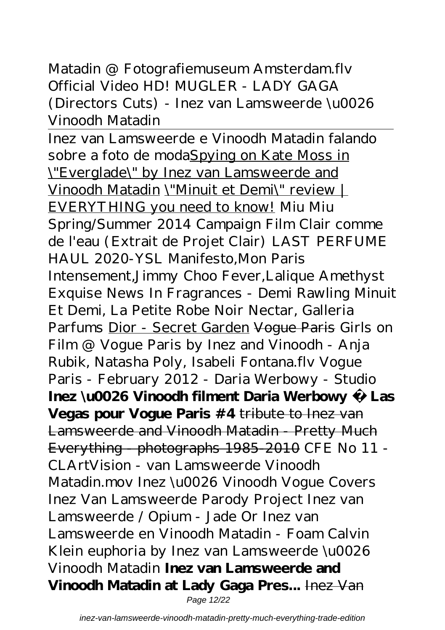#### Matadin @ Fotografiemuseum Amsterdam.flv *Official Video HD! MUGLER - LADY GAGA (Directors Cuts) - Inez van Lamsweerde \u0026 Vinoodh Matadin*

Inez van Lamsweerde e Vinoodh Matadin falando sobre a foto de modaSpying on Kate Moss in \"Everglade\" by Inez van Lamsweerde and Vinoodh Matadin \"Minuit et Demi\" review | EVERYTHING you need to know! *Miu Miu Spring/Summer 2014 Campaign Film Clair comme de l'eau (Extrait de Projet Clair) LAST PERFUME HAUL 2020-YSL Manifesto,Mon Paris Intensement,Jimmy Choo Fever,Lalique Amethyst Exquise News In Fragrances - Demi Rawling Minuit Et Demi, La Petite Robe Noir Nectar, Galleria Parfums* Dior - Secret Garden Vogue Paris *Girls on Film @ Vogue Paris by Inez and Vinoodh - Anja Rubik, Natasha Poly, Isabeli Fontana.flv* Vogue Paris - February 2012 - Daria Werbowy - Studio **Inez \u0026 Vinoodh filment Daria Werbowy à Las Vegas pour Vogue Paris #4** tribute to Inez van Lamsweerde and Vinoodh Matadin - Pretty Much Everything - photographs 1985-2010 CFE No 11 - CLArtVision - van Lamsweerde Vinoodh Matadin.mov *Inez \u0026 Vinoodh Vogue Covers Inez Van Lamsweerde Parody Project Inez van Lamsweerde / Opium - Jade Or Inez van Lamsweerde en Vinoodh Matadin - Foam Calvin Klein euphoria by Inez van Lamsweerde \u0026 Vinoodh Matadin* **Inez van Lamsweerde and Vinoodh Matadin at Lady Gaga Pres...** Inez Van Page 12/22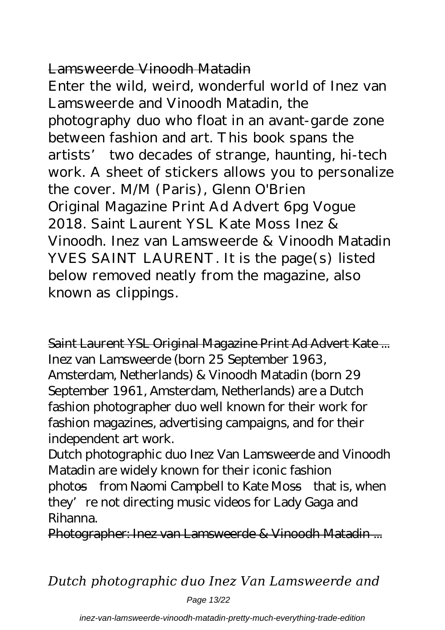### Lamsweerde Vinoodh Matadin

Enter the wild, weird, wonderful world of Inez van Lamsweerde and Vinoodh Matadin, the photography duo who float in an avant-garde zone between fashion and art. This book spans the artists' two decades of strange, haunting, hi-tech work. A sheet of stickers allows you to personalize the cover. M/M (Paris), Glenn O'Brien Original Magazine Print Ad Advert 6pg Vogue 2018. Saint Laurent YSL Kate Moss Inez & Vinoodh. Inez van Lamsweerde & Vinoodh Matadin YVES SAINT LAURENT. It is the page(s) listed below removed neatly from the magazine, also known as clippings.

Saint Laurent YSL Original Magazine Print Ad Advert Kate ... Inez van Lamsweerde (born 25 September 1963, Amsterdam, Netherlands) & Vinoodh Matadin (born 29 September 1961, Amsterdam, Netherlands) are a Dutch fashion photographer duo well known for their work for fashion magazines, advertising campaigns, and for their independent art work.

Dutch photographic duo Inez Van Lamsweerde and Vinoodh Matadin are widely known for their iconic fashion photos—from Naomi Campbell to Kate Moss—that is, when they' re not directing music videos for Lady Gaga and

Rihanna. Photographer: Inez van Lamsweerde & Vinoodh Matadin ...

*Dutch photographic duo Inez Van Lamsweerde and*

Page 13/22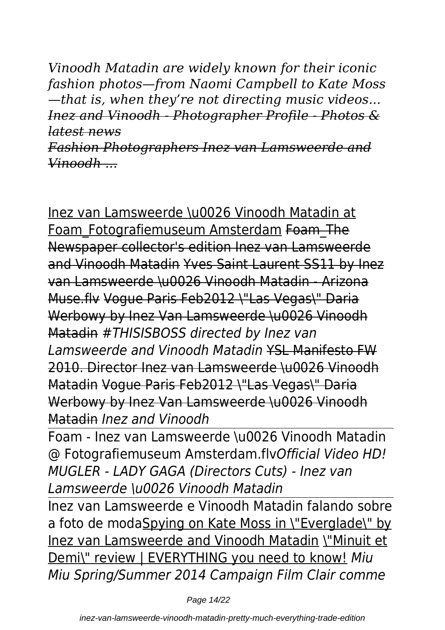*Vinoodh Matadin are widely known for their iconic fashion photos—from Naomi Campbell to Kate Moss —that is, when they're not directing music videos... Inez and Vinoodh - Photographer Profile - Photos & latest news*

*Fashion Photographers Inez van Lamsweerde and Vinoodh ...*

Inez van Lamsweerde \u0026 Vinoodh Matadin at Foam\_Fotografiemuseum Amsterdam Foam\_The Newspaper collector's edition Inez van Lamsweerde and Vinoodh Matadin Yves Saint Laurent SS11 by Inez van Lamsweerde \u0026 Vinoodh Matadin - Arizona Muse.flv Vogue Paris Feb2012 \"Las Vegas\" Daria Werbowy by Inez Van Lamsweerde \u0026 Vinoodh Matadin *#THISISBOSS directed by Inez van Lamsweerde and Vinoodh Matadin* YSL Manifesto FW 2010. Director Inez van Lamsweerde \u0026 Vinoodh Matadin Vogue Paris Feb2012 \"Las Vegas\" Daria Werbowy by Inez Van Lamsweerde \u0026 Vinoodh Matadin *Inez and Vinoodh*

Foam - Inez van Lamsweerde \u0026 Vinoodh Matadin @ Fotografiemuseum Amsterdam.flv*Official Video HD! MUGLER - LADY GAGA (Directors Cuts) - Inez van Lamsweerde \u0026 Vinoodh Matadin*

Inez van Lamsweerde e Vinoodh Matadin falando sobre a foto de modaSpying on Kate Moss in \"Everglade\" by Inez van Lamsweerde and Vinoodh Matadin \"Minuit et Demi\" review | EVERYTHING you need to know! *Miu Miu Spring/Summer 2014 Campaign Film Clair comme*

Page 14/22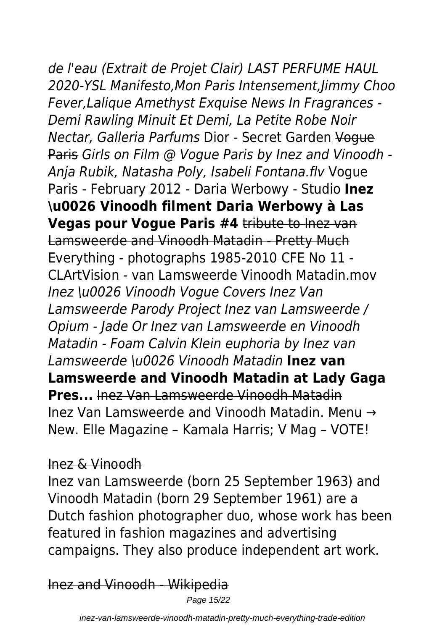# *de l'eau (Extrait de Projet Clair) LAST PERFUME HAUL 2020-YSL Manifesto,Mon Paris Intensement,Jimmy Choo Fever,Lalique Amethyst Exquise News In Fragrances -*

*Demi Rawling Minuit Et Demi, La Petite Robe Noir Nectar, Galleria Parfums* Dior - Secret Garden Vogue Paris *Girls on Film @ Vogue Paris by Inez and Vinoodh - Anja Rubik, Natasha Poly, Isabeli Fontana.flv* Vogue Paris - February 2012 - Daria Werbowy - Studio **Inez \u0026 Vinoodh filment Daria Werbowy à Las Vegas pour Vogue Paris #4** tribute to Inez van Lamsweerde and Vinoodh Matadin - Pretty Much Everything - photographs 1985-2010 CFE No 11 - CLArtVision - van Lamsweerde Vinoodh Matadin.mov *Inez \u0026 Vinoodh Vogue Covers Inez Van Lamsweerde Parody Project Inez van Lamsweerde / Opium - Jade Or Inez van Lamsweerde en Vinoodh Matadin - Foam Calvin Klein euphoria by Inez van Lamsweerde \u0026 Vinoodh Matadin* **Inez van Lamsweerde and Vinoodh Matadin at Lady Gaga Pres...** Inez Van Lamsweerde Vinoodh Matadin Inez Van Lamsweerde and Vinoodh Matadin. Menu → New. Elle Magazine – Kamala Harris; V Mag – VOTE!

#### Inez & Vinoodh

Inez van Lamsweerde (born 25 September 1963) and Vinoodh Matadin (born 29 September 1961) are a Dutch fashion photographer duo, whose work has been featured in fashion magazines and advertising campaigns. They also produce independent art work.

Inez and Vinoodh - Wikipedia

Page 15/22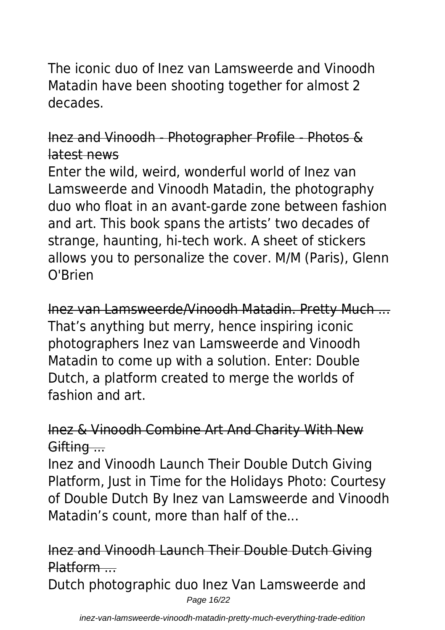The iconic duo of Inez van Lamsweerde and Vinoodh Matadin have been shooting together for almost 2 decades.

#### Inez and Vinoodh - Photographer Profile - Photos & latest news

Enter the wild, weird, wonderful world of Inez van Lamsweerde and Vinoodh Matadin, the photography duo who float in an avant-garde zone between fashion and art. This book spans the artists' two decades of strange, haunting, hi-tech work. A sheet of stickers allows you to personalize the cover. M/M (Paris), Glenn O'Brien

Inez van Lamsweerde/Vinoodh Matadin. Pretty Much ... That's anything but merry, hence inspiring iconic photographers Inez van Lamsweerde and Vinoodh Matadin to come up with a solution. Enter: Double Dutch, a platform created to merge the worlds of fashion and art.

#### Inez & Vinoodh Combine Art And Charity With New Gifting ...

Inez and Vinoodh Launch Their Double Dutch Giving Platform, Just in Time for the Holidays Photo: Courtesy of Double Dutch By Inez van Lamsweerde and Vinoodh Matadin's count, more than half of the...

## Inez and Vinoodh Launch Their Double Dutch Giving Platform ...

Dutch photographic duo Inez Van Lamsweerde and Page 16/22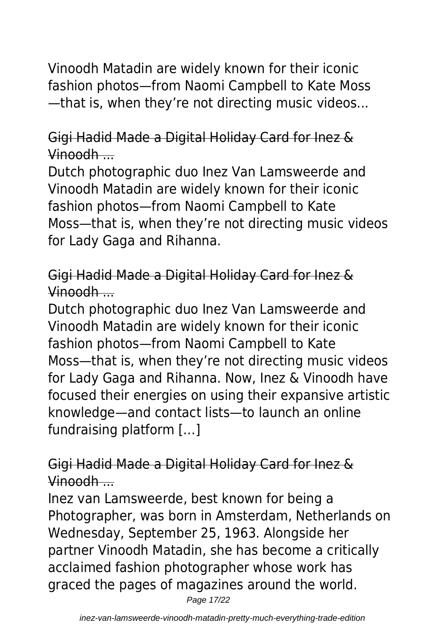Vinoodh Matadin are widely known for their iconic fashion photos—from Naomi Campbell to Kate Moss —that is, when they're not directing music videos...

### Gigi Hadid Made a Digital Holiday Card for Inez & Vinoodh ...

Dutch photographic duo Inez Van Lamsweerde and Vinoodh Matadin are widely known for their iconic fashion photos—from Naomi Campbell to Kate Moss—that is, when they're not directing music videos for Lady Gaga and Rihanna.

Gigi Hadid Made a Digital Holiday Card for Inez & Vinoodh ....

Dutch photographic duo Inez Van Lamsweerde and Vinoodh Matadin are widely known for their iconic fashion photos—from Naomi Campbell to Kate Moss—that is, when they're not directing music videos for Lady Gaga and Rihanna. Now, Inez & Vinoodh have focused their energies on using their expansive artistic knowledge—and contact lists—to launch an online fundraising platform […]

Gigi Hadid Made a Digital Holiday Card for Inez & Vinoodh ...

Inez van Lamsweerde, best known for being a Photographer, was born in Amsterdam, Netherlands on Wednesday, September 25, 1963. Alongside her partner Vinoodh Matadin, she has become a critically acclaimed fashion photographer whose work has graced the pages of magazines around the world.

Page 17/22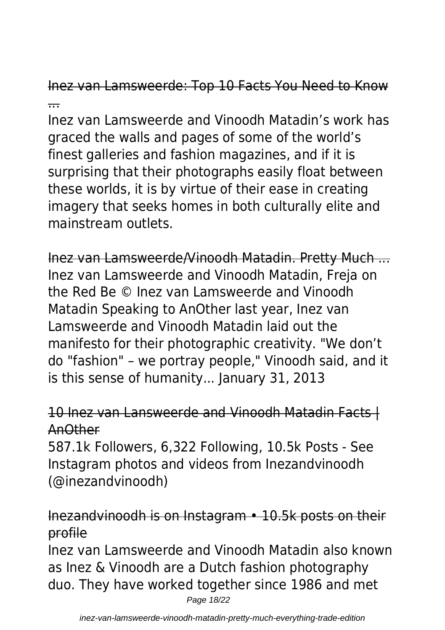Inez van Lamsweerde: Top 10 Facts You Need to Know ...

Inez van Lamsweerde and Vinoodh Matadin's work has graced the walls and pages of some of the world's finest galleries and fashion magazines, and if it is surprising that their photographs easily float between these worlds, it is by virtue of their ease in creating imagery that seeks homes in both culturally elite and mainstream outlets.

Inez van Lamsweerde/Vinoodh Matadin. Pretty Much ... Inez van Lamsweerde and Vinoodh Matadin, Freja on the Red Be © Inez van Lamsweerde and Vinoodh Matadin Speaking to AnOther last year, Inez van Lamsweerde and Vinoodh Matadin laid out the manifesto for their photographic creativity. "We don't do "fashion" – we portray people," Vinoodh said, and it is this sense of humanity... January 31, 2013

## 10 Inez van Lansweerde and Vinoodh Matadin Facts | AnOther

587.1k Followers, 6,322 Following, 10.5k Posts - See Instagram photos and videos from Inezandvinoodh (@inezandvinoodh)

## Inezandvinoodh is on Instagram • 10.5k posts on their profile

Inez van Lamsweerde and Vinoodh Matadin also known as Inez & Vinoodh are a Dutch fashion photography duo. They have worked together since 1986 and met Page 18/22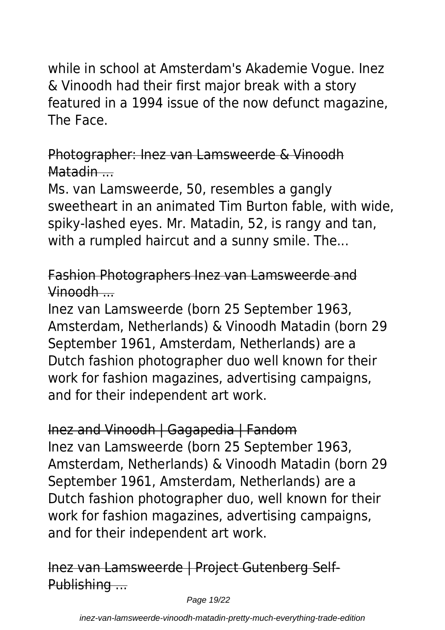while in school at Amsterdam's Akademie Vogue. Inez & Vinoodh had their first major break with a story featured in a 1994 issue of the now defunct magazine, The Face.

## Photographer: Inez van Lamsweerde & Vinoodh Matadin ...

Ms. van Lamsweerde, 50, resembles a gangly sweetheart in an animated Tim Burton fable, with wide, spiky-lashed eyes. Mr. Matadin, 52, is rangy and tan, with a rumpled haircut and a sunny smile. The...

## Fashion Photographers Inez van Lamsweerde and Vinoodh ...

Inez van Lamsweerde (born 25 September 1963, Amsterdam, Netherlands) & Vinoodh Matadin (born 29 September 1961, Amsterdam, Netherlands) are a Dutch fashion photographer duo well known for their work for fashion magazines, advertising campaigns, and for their independent art work.

## Inez and Vinoodh | Gagapedia | Fandom Inez van Lamsweerde (born 25 September 1963, Amsterdam, Netherlands) & Vinoodh Matadin (born 29 September 1961, Amsterdam, Netherlands) are a Dutch fashion photographer duo, well known for their work for fashion magazines, advertising campaigns, and for their independent art work.

## Inez van Lamsweerde | Project Gutenberg Self-Publishing ...

Page 19/22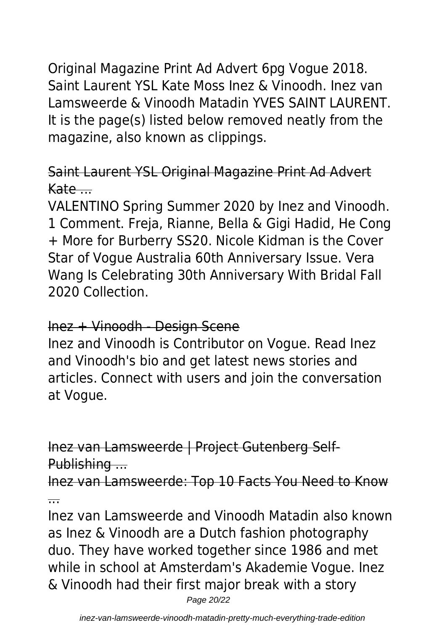Original Magazine Print Ad Advert 6pg Vogue 2018. Saint Laurent YSL Kate Moss Inez & Vinoodh. Inez van Lamsweerde & Vinoodh Matadin YVES SAINT LAURENT. It is the page(s) listed below removed neatly from the magazine, also known as clippings.

## Saint Laurent YSL Original Magazine Print Ad Advert  $Kate...$

VALENTINO Spring Summer 2020 by Inez and Vinoodh. 1 Comment. Freja, Rianne, Bella & Gigi Hadid, He Cong + More for Burberry SS20. Nicole Kidman is the Cover Star of Vogue Australia 60th Anniversary Issue. Vera Wang Is Celebrating 30th Anniversary With Bridal Fall 2020 Collection.

#### Inez + Vinoodh - Design Scene

Inez and Vinoodh is Contributor on Vogue. Read Inez and Vinoodh's bio and get latest news stories and articles. Connect with users and join the conversation at Vogue.

Inez van Lamsweerde | Project Gutenberg Self-Publishing ...

Inez van Lamsweerde: Top 10 Facts You Need to Know ...

Inez van Lamsweerde and Vinoodh Matadin also known as Inez & Vinoodh are a Dutch fashion photography duo. They have worked together since 1986 and met while in school at Amsterdam's Akademie Vogue. Inez & Vinoodh had their first major break with a story Page 20/22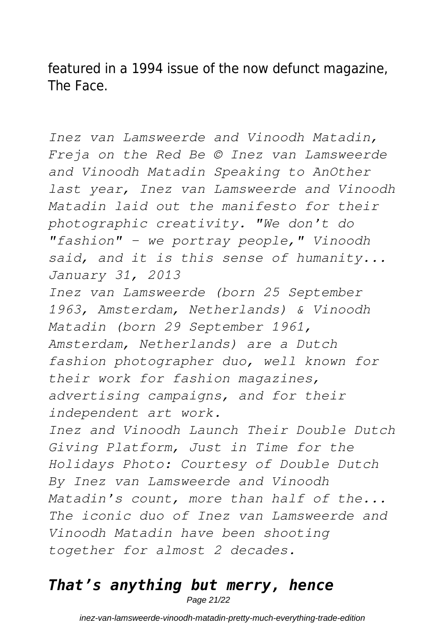featured in a 1994 issue of the now defunct magazine, The Face.

*Inez van Lamsweerde and Vinoodh Matadin, Freja on the Red Be © Inez van Lamsweerde and Vinoodh Matadin Speaking to AnOther last year, Inez van Lamsweerde and Vinoodh Matadin laid out the manifesto for their photographic creativity. "We don't do "fashion" – we portray people," Vinoodh said, and it is this sense of humanity... January 31, 2013 Inez van Lamsweerde (born 25 September 1963, Amsterdam, Netherlands) & Vinoodh Matadin (born 29 September 1961, Amsterdam, Netherlands) are a Dutch fashion photographer duo, well known for their work for fashion magazines, advertising campaigns, and for their independent art work. Inez and Vinoodh Launch Their Double Dutch Giving Platform, Just in Time for the Holidays Photo: Courtesy of Double Dutch By Inez van Lamsweerde and Vinoodh Matadin's count, more than half of the... The iconic duo of Inez van Lamsweerde and Vinoodh Matadin have been shooting together for almost 2 decades.*

## *That's anything but merry, hence*

Page 21/22